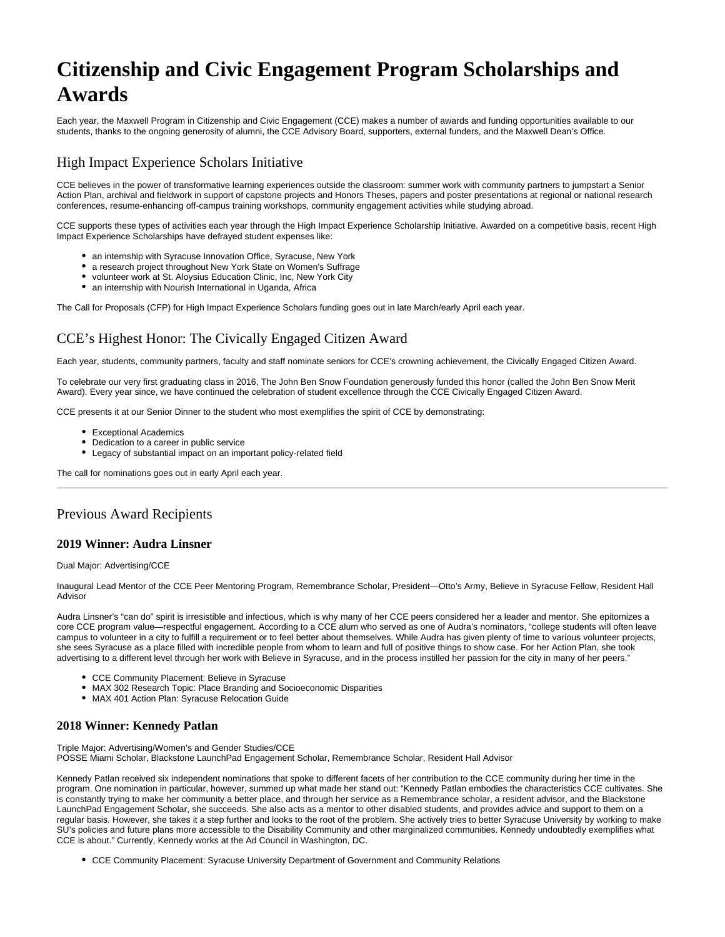# **Citizenship and Civic Engagement Program Scholarships and Awards**

Each year, the Maxwell Program in Citizenship and Civic Engagement (CCE) makes a number of awards and funding opportunities available to our students, thanks to the ongoing generosity of alumni, the CCE Advisory Board, supporters, external funders, and the Maxwell Dean's Office.

# High Impact Experience Scholars Initiative

CCE believes in the power of transformative learning experiences outside the classroom: summer work with community partners to jumpstart a Senior Action Plan, archival and fieldwork in support of capstone projects and Honors Theses, papers and poster presentations at regional or national research conferences, resume-enhancing off-campus training workshops, community engagement activities while studying abroad.

CCE supports these types of activities each year through the High Impact Experience Scholarship Initiative. Awarded on a competitive basis, recent High Impact Experience Scholarships have defrayed student expenses like:

- an internship with Syracuse Innovation Office, Syracuse, New York
- a research project throughout New York State on Women's Suffrage
- volunteer work at St. Aloysius Education Clinic, Inc, New York City
- an internship with Nourish International in Uganda, Africa

The Call for Proposals (CFP) for High Impact Experience Scholars funding goes out in late March/early April each year.

# CCE's Highest Honor: The Civically Engaged Citizen Award

Each year, students, community partners, faculty and staff nominate seniors for CCE's crowning achievement, the Civically Engaged Citizen Award.

To celebrate our very first graduating class in 2016, The John Ben Snow Foundation generously funded this honor (called the John Ben Snow Merit Award). Every year since, we have continued the celebration of student excellence through the CCE Civically Engaged Citizen Award.

CCE presents it at our Senior Dinner to the student who most exemplifies the spirit of CCE by demonstrating:

- Exceptional Academics
- Dedication to a career in public service
- Legacy of substantial impact on an important policy-related field

The call for nominations goes out in early April each year.

# Previous Award Recipients

#### **2019 Winner: Audra Linsner**

Dual Major: Advertising/CCE

Inaugural Lead Mentor of the CCE Peer Mentoring Program, Remembrance Scholar, President—Otto's Army, Believe in Syracuse Fellow, Resident Hall Advisor

Audra Linsner's "can do" spirit is irresistible and infectious, which is why many of her CCE peers considered her a leader and mentor. She epitomizes a core CCE program value—respectful engagement. According to a CCE alum who served as one of Audra's nominators, "college students will often leave campus to volunteer in a city to fulfill a requirement or to feel better about themselves. While Audra has given plenty of time to various volunteer projects, she sees Syracuse as a place filled with incredible people from whom to learn and full of positive things to show case. For her Action Plan, she took advertising to a different level through her work with Believe in Syracuse, and in the process instilled her passion for the city in many of her peers."

- CCE Community Placement: Believe in Syracuse
- MAX 302 Research Topic: Place Branding and Socioeconomic Disparities
- MAX 401 Action Plan: Syracuse Relocation Guide

# **2018 Winner: Kennedy Patlan**

Triple Major: Advertising/Women's and Gender Studies/CCE

POSSE Miami Scholar, Blackstone LaunchPad Engagement Scholar, Remembrance Scholar, Resident Hall Advisor

Kennedy Patlan received six independent nominations that spoke to different facets of her contribution to the CCE community during her time in the program. One nomination in particular, however, summed up what made her stand out: "Kennedy Patlan embodies the characteristics CCE cultivates. She is constantly trying to make her community a better place, and through her service as a Remembrance scholar, a resident advisor, and the Blackstone LaunchPad Engagement Scholar, she succeeds. She also acts as a mentor to other disabled students, and provides advice and support to them on a regular basis. However, she takes it a step further and looks to the root of the problem. She actively tries to better Syracuse University by working to make SU's policies and future plans more accessible to the Disability Community and other marginalized communities. Kennedy undoubtedly exemplifies what CCE is about." Currently, Kennedy works at the Ad Council in Washington, DC.

CCE Community Placement: Syracuse University Department of Government and Community Relations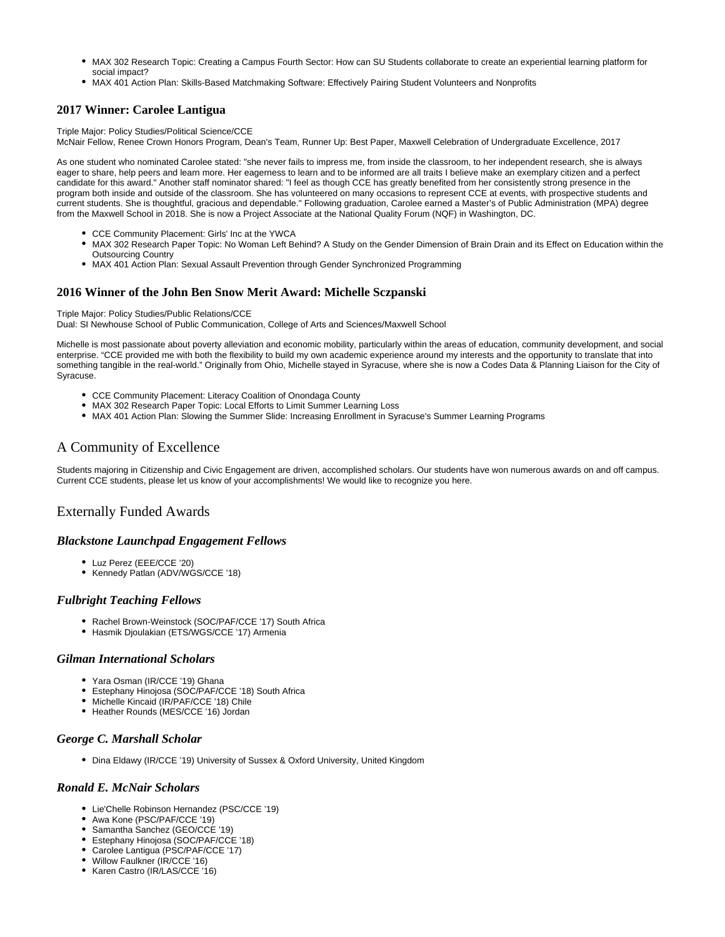- MAX 302 Research Topic: Creating a Campus Fourth Sector: How can SU Students collaborate to create an experiential learning platform for social impact?
- MAX 401 Action Plan: Skills-Based Matchmaking Software: Effectively Pairing Student Volunteers and Nonprofits

# **2017 Winner: Carolee Lantigua**

Triple Major: Policy Studies/Political Science/CCE

McNair Fellow, Renee Crown Honors Program, Dean's Team, Runner Up: Best Paper, Maxwell Celebration of Undergraduate Excellence, 2017

As one student who nominated Carolee stated: "she never fails to impress me, from inside the classroom, to her independent research, she is always eager to share, help peers and learn more. Her eagerness to learn and to be informed are all traits I believe make an exemplary citizen and a perfect candidate for this award." Another staff nominator shared: "I feel as though CCE has greatly benefited from her consistently strong presence in the program both inside and outside of the classroom. She has volunteered on many occasions to represent CCE at events, with prospective students and current students. She is thoughtful, gracious and dependable." Following graduation, Carolee earned a Master's of Public Administration (MPA) degree from the Maxwell School in 2018. She is now a Project Associate at the National Quality Forum (NQF) in Washington, DC.

- CCE Community Placement: Girls' Inc at the YWCA
- MAX 302 Research Paper Topic: No Woman Left Behind? A Study on the Gender Dimension of Brain Drain and its Effect on Education within the Outsourcing Country
- MAX 401 Action Plan: Sexual Assault Prevention through Gender Synchronized Programming

#### **2016 Winner of the John Ben Snow Merit Award: Michelle Sczpanski**

Triple Major: Policy Studies/Public Relations/CCE

Dual: SI Newhouse School of Public Communication, College of Arts and Sciences/Maxwell School

Michelle is most passionate about poverty alleviation and economic mobility, particularly within the areas of education, community development, and social enterprise. "CCE provided me with both the flexibility to build my own academic experience around my interests and the opportunity to translate that into something tangible in the real-world." Originally from Ohio, Michelle stayed in Syracuse, where she is now a Codes Data & Planning Liaison for the City of Syracuse.

- CCE Community Placement: Literacy Coalition of Onondaga County
- MAX 302 Research Paper Topic: Local Efforts to Limit Summer Learning Loss
- MAX 401 Action Plan: Slowing the Summer Slide: Increasing Enrollment in Syracuse's Summer Learning Programs

# A Community of Excellence

Students majoring in Citizenship and Civic Engagement are driven, accomplished scholars. Our students have won numerous awards on and off campus. Current CCE students, please let us know of your accomplishments! We would like to recognize you here.

# Externally Funded Awards

#### *Blackstone Launchpad Engagement Fellows*

- Luz Perez (EEE/CCE '20)
- Kennedy Patlan (ADV/WGS/CCE '18)

#### *Fulbright Teaching Fellows*

- Rachel Brown-Weinstock (SOC/PAF/CCE '17) South Africa
- Hasmik Djoulakian (ETS/WGS/CCE '17) Armenia

#### *Gilman International Scholars*

- Yara Osman (IR/CCE '19) Ghana
- Estephany Hinojosa (SOC/PAF/CCE '18) South Africa
- Michelle Kincaid (IR/PAF/CCE '18) Chile
- Heather Rounds (MES/CCE '16) Jordan

#### *George C. Marshall Scholar*

Dina Eldawy (IR/CCE '19) University of Sussex & Oxford University, United Kingdom

#### *Ronald E. McNair Scholars*

- Lie'Chelle Robinson Hernandez (PSC/CCE '19)
- Awa Kone (PSC/PAF/CCE '19)
- Samantha Sanchez (GEO/CCE '19)
- Estephany Hinojosa (SOC/PAF/CCE '18) Carolee Lantigua (PSC/PAF/CCE '17)
- Willow Faulkner (IR/CCE '16)
- Karen Castro (IR/LAS/CCE '16)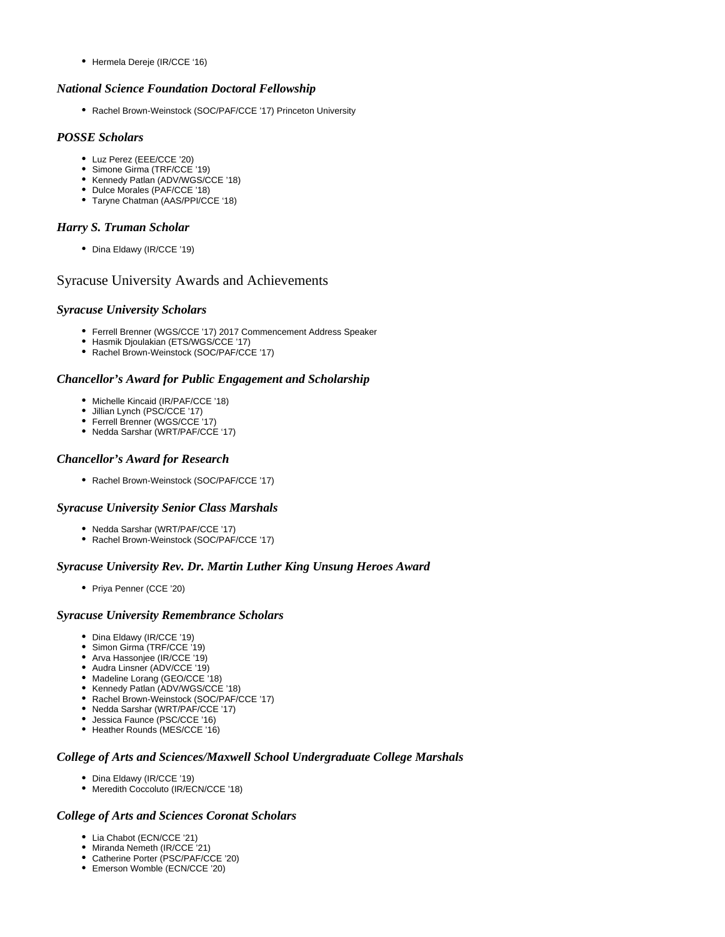• Hermela Dereje (IR/CCE '16)

#### *National Science Foundation Doctoral Fellowship*

Rachel Brown-Weinstock (SOC/PAF/CCE '17) Princeton University

#### *POSSE Scholars*

- Luz Perez (EEE/CCE '20)
- Simone Girma (TRF/CCE '19)
- Kennedy Patlan (ADV/WGS/CCE '18)
- Dulce Morales (PAF/CCE '18)
- Taryne Chatman (AAS/PPI/CCE '18)

#### *Harry S. Truman Scholar*

• Dina Eldawy (IR/CCE '19)

# Syracuse University Awards and Achievements

#### *Syracuse University Scholars*

- Ferrell Brenner (WGS/CCE '17) 2017 Commencement Address Speaker
- Hasmik Djoulakian (ETS/WGS/CCE '17)
- Rachel Brown-Weinstock (SOC/PAF/CCE '17)

#### *Chancellor's Award for Public Engagement and Scholarship*

- Michelle Kincaid (IR/PAF/CCE '18)
- Jillian Lynch (PSC/CCE '17)
- Ferrell Brenner (WGS/CCE<sup>'</sup>17)
- Nedda Sarshar (WRT/PAF/CCE '17)

# *Chancellor's Award for Research*

Rachel Brown-Weinstock (SOC/PAF/CCE '17)

# *Syracuse University Senior Class Marshals*

- Nedda Sarshar (WRT/PAF/CCE '17)
- Rachel Brown-Weinstock (SOC/PAF/CCE '17)

# *Syracuse University Rev. Dr. Martin Luther King Unsung Heroes Award*

• Priya Penner (CCE '20)

# *Syracuse University Remembrance Scholars*

- Dina Eldawy (IR/CCE '19)
- Simon Girma (TRF/CCE '19)
- Arva Hassonjee (IR/CCE '19)
- Audra Linsner (ADV/CCE '19)
- Madeline Lorang (GEO/CCE '18)
- Kennedy Patlan (ADV/WGS/CCE '18) Rachel Brown-Weinstock (SOC/PAF/CCE '17)
- Nedda Sarshar (WRT/PAF/CCE '17)
- Jessica Faunce (PSC/CCE '16)
- Heather Rounds (MES/CCE '16)

#### *College of Arts and Sciences/Maxwell School Undergraduate College Marshals*

- Dina Eldawy (IR/CCE '19)
- Meredith Coccoluto (IR/ECN/CCE '18)

# *College of Arts and Sciences Coronat Scholars*

- Lia Chabot (ECN/CCE '21)
- Miranda Nemeth (IR/CCE '21)
- Catherine Porter (PSC/PAF/CCE '20) Emerson Womble (ECN/CCE '20)